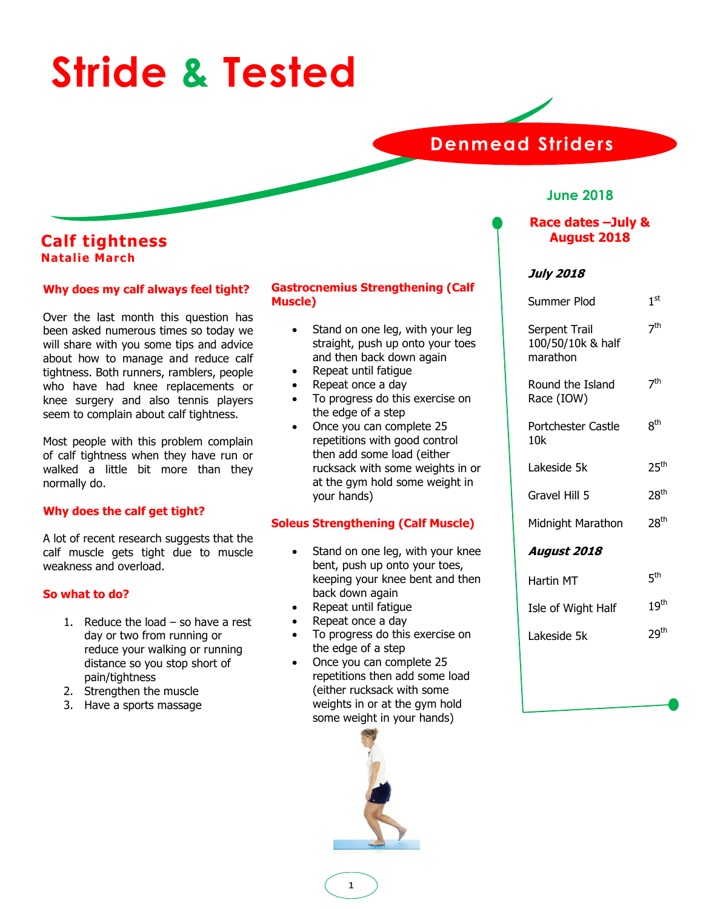# **Stride & Tested**

# **Denmead Striders**

# **June 2018**

# **Race dates –July & August 2018**

# **July 2018**

| Summer Plod                                    | 1 <sup>st</sup>  |
|------------------------------------------------|------------------|
| Serpent Trail<br>100/50/10k & half<br>marathon | 7 <sup>th</sup>  |
| Round the Island<br>Race (IOW)                 | 7 <sup>th</sup>  |
| Portchester Castle<br>10k                      | 8 <sup>th</sup>  |
| Lakeside 5k                                    | 25 <sup>th</sup> |
| Gravel Hill 5                                  | 28 <sup>th</sup> |
| Midnight Marathon                              | 28 <sup>th</sup> |
| <b>August 2018</b>                             |                  |
| Hartin MT                                      | 5 <sup>th</sup>  |
| Isle of Wight Half                             | 19 <sup>th</sup> |
| Lakeside 5k                                    | 29 <sup>th</sup> |
|                                                |                  |

# **Calf tightness Natalie March**

# **Why does my calf always feel tight?**

Over the last month this question has been asked numerous times so today we will share with you some tips and advice about how to manage and reduce calf tightness. Both runners, ramblers, people who have had knee replacements or knee surgery and also tennis players seem to complain about calf tightness.

Most people with this problem complain of calf tightness when they have run or walked a little bit more than they normally do.

# **Why does the calf get tight?**

A lot of recent research suggests that the calf muscle gets tight due to muscle weakness and overload.

# **So what to do?**

- 1. Reduce the load so have a rest day or two from running or reduce your walking or running distance so you stop short of pain/tightness
- 2. Strengthen the muscle
- 3. Have a sports massage

# **Gastrocnemius Strengthening (Calf Muscle)**

- Stand on one leg, with your leg straight, push up onto your toes and then back down again
- Repeat until fatigue
- Repeat once a day
- To progress do this exercise on the edge of a step
- Once you can complete 25 repetitions with good control then add some load (either rucksack with some weights in or at the gym hold some weight in your hands)

# **Soleus Strengthening (Calf Muscle)**

- Stand on one leg, with your knee bent, push up onto your toes, keeping your knee bent and then back down again
- Repeat until fatigue
- Repeat once a day
- To progress do this exercise on the edge of a step
- Once you can complete 25 repetitions then add some load (either rucksack with some weights in or at the gym hold some weight in your hands)

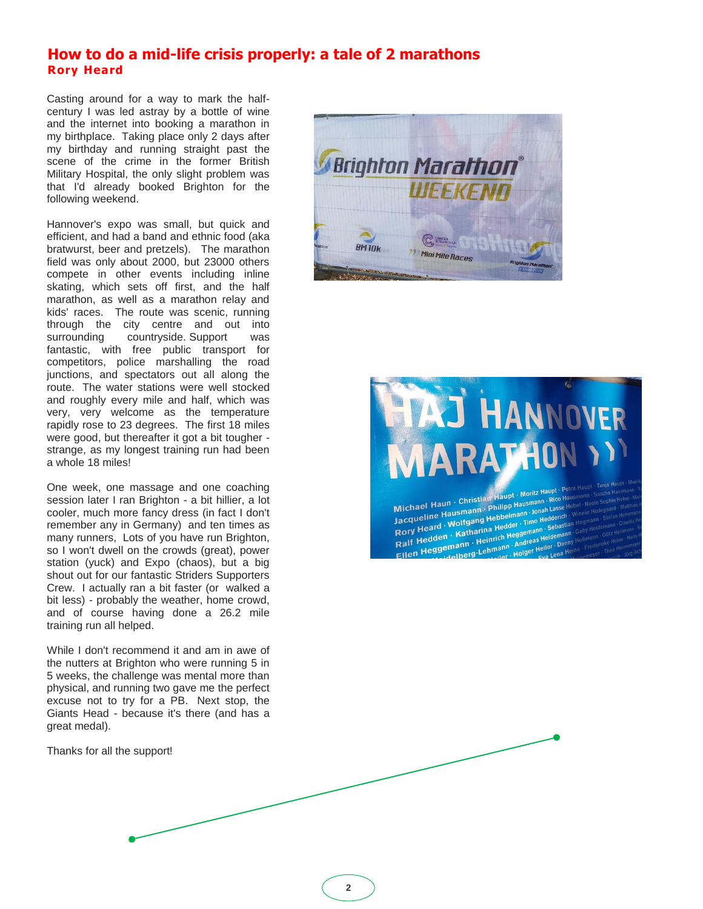# **How to do a mid-life crisis properly: a tale of 2 marathons Rory Heard**

Casting around for a way to mark the halfcentury I was led astray by a bottle of wine and the internet into booking a marathon in my birthplace. Taking place only 2 days after my birthday and running straight past the scene of the crime in the former British Military Hospital, the only slight problem was that I'd already booked Brighton for the following weekend.

Hannover's expo was small, but quick and efficient, and had a band and ethnic food (aka bratwurst, beer and pretzels). The marathon field was only about 2000, but 23000 others compete in other events including inline skating, which sets off first, and the half marathon, as well as a marathon relay and kids' races. The route was scenic, running through the city centre and out into surrounding countryside. Support was fantastic, with free public transport for competitors, police marshalling the road junctions, and spectators out all along the route. The water stations were well stocked and roughly every mile and half, which was very, very welcome as the temperature rapidly rose to 23 degrees. The first 18 miles were good, but thereafter it got a bit tougher strange, as my longest training run had been a whole 18 miles!

One week, one massage and one coaching session later I ran Brighton - a bit hillier, a lot cooler, much more fancy dress (in fact I don't remember any in Germany) and ten times as many runners, Lots of you have run Brighton, so I won't dwell on the crowds (great), power station (yuck) and Expo (chaos), but a big shout out for our fantastic Striders Supporters Crew. I actually ran a bit faster (or walked a bit less) - probably the weather, home crowd, and of course having done a 26.2 mile training run all helped.

While I don't recommend it and am in awe of the nutters at Brighton who were running 5 in 5 weeks, the challenge was mental more than physical, and running two gave me the perfect excuse not to try for a PB. Next stop, the Giants Head - because it's there (and has a great medal).

Thanks for all the support!





Michael Haun · Christian Haupt · Moritz Haupt · Priticipal<br>Jacqueline Hausmann · Philipp Hausmann · Rico Hausmann<br>Jacqueline Hausmann · Philipp Hausmann · Jonah Lasse Help Michael Haun · Christian Philipp Hausmann · Rico nase Hausmann · Philipp Hausmann · Jonah Lasse Haup<br>Jacqueline Hausmann · Philipp Hausmann · Jonah Lasse Haup<br>Rory Heard · Wolfgang Hedder · Timo Hedderich<br>Cory Heard · Mark Michael Hausmann - Hubbelmann - Jonah Lasse III<br>Rory Heard - Wolfgang Hedder - Timo Hedder<br>Ralf Hedden - Katharina Hedder - Timo Hedastian<br>Ralf Hedden - Katharina - Michael Heller - Damin<br>- Hedgemann - Henmann - Andreas He The Heard . Wolfgang Hebberham . Helafelter . Time Hedderich . Katharina Hedder . Time Hedderich . Representation . Raif Hedder . Heinrich Heggemann . Sebastian . Raif Hedder . Heinrich Heinrich . Heinrich . Heinrich . Hei methanina Hedder<br> **Example Henrich Heggemann** - Sebashin<br>
Emann - Heinrich Heggemann - Andreas Heider Danny<br>
Helberg - Lehmann - Holger Heiler - Danny<br>
Heiler - Heiler - Heiler - Paper ich Heys-<br>1908 - Andreas Heiler - Danny H<br>1908 - Holger Heiler - Danny Heine<br>1908 - Eya Lena Heine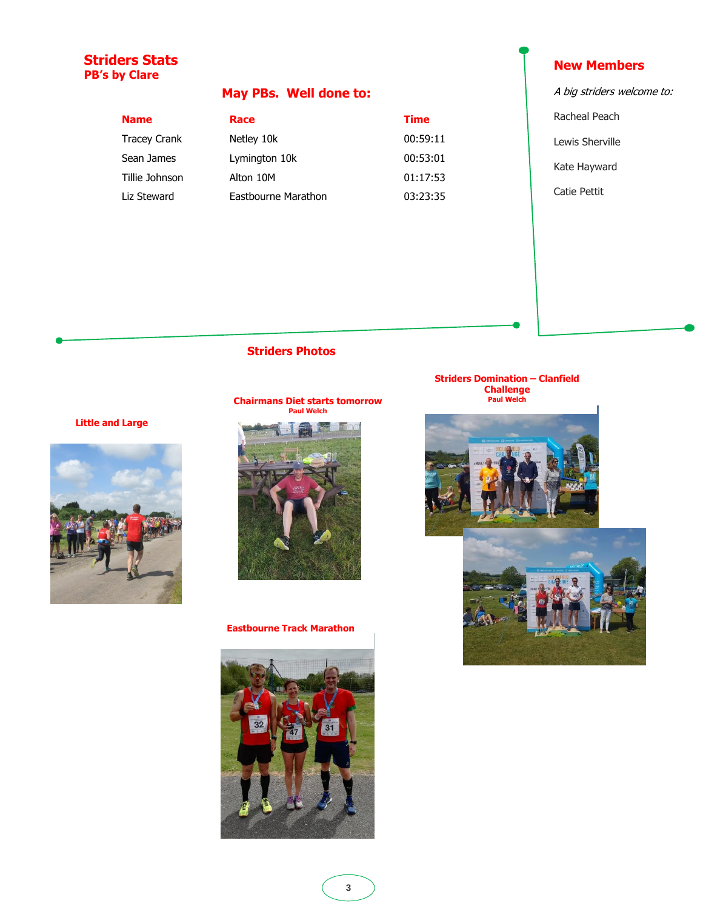# **Striders Stats PB's by Clare**

# **May PBs. Well done to:**

Tracey Crank Sean James Tillie Johnson Liz Steward

| <b>Name</b>         | Race                | <b>Time</b> |
|---------------------|---------------------|-------------|
| <b>Tracey Crank</b> | Netley 10k          | 00:59       |
| Sean James          | Lymington 10k       | 00:53       |
| Tillie Johnson      | Alton 10M           | 01:17       |
| Liz Steward         | Eastbourne Marathon | 03:23       |

# 00:59:11 00:53:01 01:17:53 03:23:35

# **New Members**

- A big striders welcome to:
- Racheal Peach
- Lewis Sherville
- Kate Hayward
- Catie Pettit

# **Striders Photos**

**Little and Large**

# **Chairmans Diet starts tomorrow Paul Welch**



### **Eastbourne Track Marathon**



# **Striders Domination – Clanfield Challenge Paul Welch**